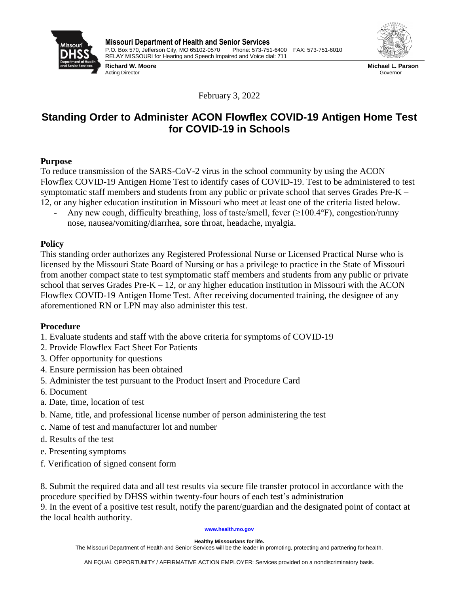

**Richard W. Moore** Acting Director



**Michael L. Parson** Governor

February 3, 2022

# **Standing Order to Administer ACON Flowflex COVID-19 Antigen Home Test for COVID-19 in Schools**

## **Purpose**

To reduce transmission of the SARS-CoV-2 virus in the school community by using the ACON Flowflex COVID-19 Antigen Home Test to identify cases of COVID-19. Test to be administered to test symptomatic staff members and students from any public or private school that serves Grades Pre-K – 12, or any higher education institution in Missouri who meet at least one of the criteria listed below.

Any new cough, difficulty breathing, loss of taste/smell, fever  $(\geq 100.4^{\circ}F)$ , congestion/runny nose, nausea/vomiting/diarrhea, sore throat, headache, myalgia.

# **Policy**

This standing order authorizes any Registered Professional Nurse or Licensed Practical Nurse who is licensed by the Missouri State Board of Nursing or has a privilege to practice in the State of Missouri from another compact state to test symptomatic staff members and students from any public or private school that serves Grades Pre-K  $-12$ , or any higher education institution in Missouri with the ACON Flowflex COVID-19 Antigen Home Test. After receiving documented training, the designee of any aforementioned RN or LPN may also administer this test.

## **Procedure**

- 1. Evaluate students and staff with the above criteria for symptoms of COVID-19
- 2. Provide Flowflex Fact Sheet For Patients
- 3. Offer opportunity for questions
- 4. Ensure permission has been obtained
- 5. Administer the test pursuant to the Product Insert and Procedure Card
- 6. Document
- a. Date, time, location of test
- b. Name, title, and professional license number of person administering the test
- c. Name of test and manufacturer lot and number
- d. Results of the test
- e. Presenting symptoms
- f. Verification of signed consent form

8. Submit the required data and all test results via secure file transfer protocol in accordance with the procedure specified by DHSS within twenty-four hours of each test's administration 9. In the event of a positive test result, notify the parent/guardian and the designated point of contact at the local health authority.

#### **[www.health.mo.gov](http://www.health.mo.gov/)**

**Healthy Missourians for life.**

The Missouri Department of Health and Senior Services will be the leader in promoting, protecting and partnering for health.